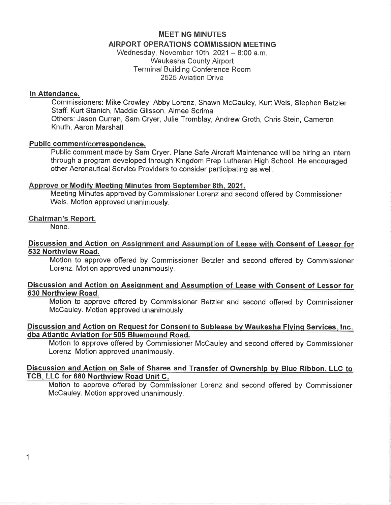# MEETING MINUTES AIRPORT OPERATIONS COMMISSION MEETING

Wednesday, November 10th,  $2021 - 8:00$  a.m. Waukesha County Airport Terminal Building Conference Room 2525 Aviation Drive

## ln Attendance.

Commissioners: Mike Crowley, Abby Lorenz, Shawn McCauley, Kurt Weis, Stephen Betzler Staff: Kurt Stanich, Maddie Glisson, Aimee Scrima Others: Jason Curran, Sam Cryer, Julie Tromblay, Andrew Groth, Chris Stein, Cameron Knuth, Aaron Marshall

# Public comment/correspondence.

Public comment made by Sam Cryer. Plane Safe Aircraft Maintenance will be hiring an intern through a program developed through Kingdom Prep Lutheran High School. He encouraged other Aeronautical Service Providers to consider participating as well.

# Approve or Modifv Meetinq Minutes from September 8th. 2021.

Meeting Minutes approved by Commissioner Lorenz and second offered by Commissioner Weis. Motion approved unanimously.

# Chairman's Report.

None.

## Discussion and Action on Assiqnment and Assumption of Lease with Consent of Lessor for 532 Northview Road.

Motion to approve offered by Commissioner Betzler and second offered by Commissioner Lorenz. Motion approved unanimously.

## Discussion and Action on Assignment and Assumption of Lease with Consent of Lessor for 630 Northview Road.

Motion to approve offered by Commissioner Betzler and second offered by Commissioner McCauley. Motion approved unanimously.

## Discussion and Action on Request for Consent to Sublease by Waukesha Flying Services, Inc. dba Atlantic Aviation 505 Bluemound Road.

Motion to approve offered by Commissioner McCauley and second offered by Commissioner Lorenz. Motion approved unanimously.

## Discussion and Action on Sale of Shares and Transfer of Ownership by Blue Ribbon, LLC to TCB, LLC for 680 Northview Road Unit C.

Motion to approve offered by Commissioner Lorenz and second offered by Commissioner McCauley. Motion approved unanimously.